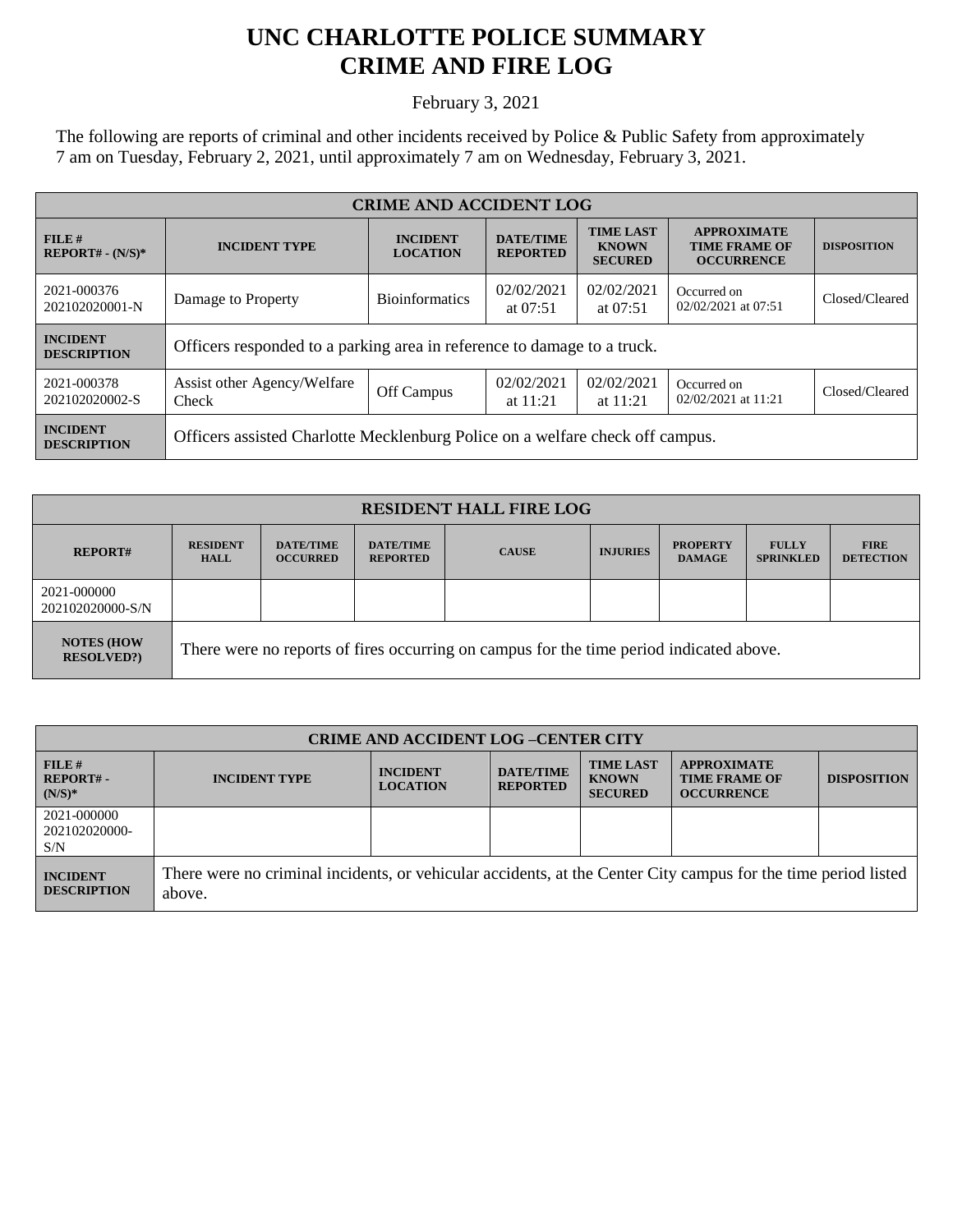## **UNC CHARLOTTE POLICE SUMMARY CRIME AND FIRE LOG**

February 3, 2021

The following are reports of criminal and other incidents received by Police & Public Safety from approximately 7 am on Tuesday, February 2, 2021, until approximately 7 am on Wednesday, February 3, 2021.

| <b>CRIME AND ACCIDENT LOG</b>         |                                                                               |                                    |                                     |                                                    |                                                                 |                    |  |
|---------------------------------------|-------------------------------------------------------------------------------|------------------------------------|-------------------------------------|----------------------------------------------------|-----------------------------------------------------------------|--------------------|--|
| $FILE$ #<br>$REPORT# - (N/S)*$        | <b>INCIDENT TYPE</b>                                                          | <b>INCIDENT</b><br><b>LOCATION</b> | <b>DATE/TIME</b><br><b>REPORTED</b> | <b>TIME LAST</b><br><b>KNOWN</b><br><b>SECURED</b> | <b>APPROXIMATE</b><br><b>TIME FRAME OF</b><br><b>OCCURRENCE</b> | <b>DISPOSITION</b> |  |
| 2021-000376<br>202102020001-N         | Damage to Property                                                            | <b>Bioinformatics</b>              | 02/02/2021<br>at $07:51$            | 02/02/2021<br>at $07:51$                           | Occurred on<br>02/02/2021 at 07:51                              | Closed/Cleared     |  |
| <b>INCIDENT</b><br><b>DESCRIPTION</b> | Officers responded to a parking area in reference to damage to a truck.       |                                    |                                     |                                                    |                                                                 |                    |  |
| 2021-000378<br>202102020002-S         | Assist other Agency/Welfare<br>Check                                          | Off Campus                         | 02/02/2021<br>at $11:21$            | 02/02/2021<br>at $11:21$                           | Occurred on<br>02/02/2021 at 11:21                              | Closed/Cleared     |  |
| <b>INCIDENT</b><br><b>DESCRIPTION</b> | Officers assisted Charlotte Mecklenburg Police on a welfare check off campus. |                                    |                                     |                                                    |                                                                 |                    |  |

| <b>RESIDENT HALL FIRE LOG</b>         |                                                                                         |                                     |                                     |              |                 |                                  |                                  |                                 |
|---------------------------------------|-----------------------------------------------------------------------------------------|-------------------------------------|-------------------------------------|--------------|-----------------|----------------------------------|----------------------------------|---------------------------------|
| <b>REPORT#</b>                        | <b>RESIDENT</b><br><b>HALL</b>                                                          | <b>DATE/TIME</b><br><b>OCCURRED</b> | <b>DATE/TIME</b><br><b>REPORTED</b> | <b>CAUSE</b> | <b>INJURIES</b> | <b>PROPERTY</b><br><b>DAMAGE</b> | <b>FULLY</b><br><b>SPRINKLED</b> | <b>FIRE</b><br><b>DETECTION</b> |
| 2021-000000<br>202102020000-S/N       |                                                                                         |                                     |                                     |              |                 |                                  |                                  |                                 |
| <b>NOTES (HOW</b><br><b>RESOLVED?</b> | There were no reports of fires occurring on campus for the time period indicated above. |                                     |                                     |              |                 |                                  |                                  |                                 |

| <b>CRIME AND ACCIDENT LOG-CENTER CITY</b> |                                                                                                                          |                                    |                                     |                                                    |                                                                 |                    |
|-------------------------------------------|--------------------------------------------------------------------------------------------------------------------------|------------------------------------|-------------------------------------|----------------------------------------------------|-----------------------------------------------------------------|--------------------|
| FILE H<br><b>REPORT#-</b><br>$(N/S)*$     | <b>INCIDENT TYPE</b>                                                                                                     | <b>INCIDENT</b><br><b>LOCATION</b> | <b>DATE/TIME</b><br><b>REPORTED</b> | <b>TIME LAST</b><br><b>KNOWN</b><br><b>SECURED</b> | <b>APPROXIMATE</b><br><b>TIME FRAME OF</b><br><b>OCCURRENCE</b> | <b>DISPOSITION</b> |
| 2021-000000<br>202102020000-<br>S/N       |                                                                                                                          |                                    |                                     |                                                    |                                                                 |                    |
| <b>INCIDENT</b><br><b>DESCRIPTION</b>     | There were no criminal incidents, or vehicular accidents, at the Center City campus for the time period listed<br>above. |                                    |                                     |                                                    |                                                                 |                    |